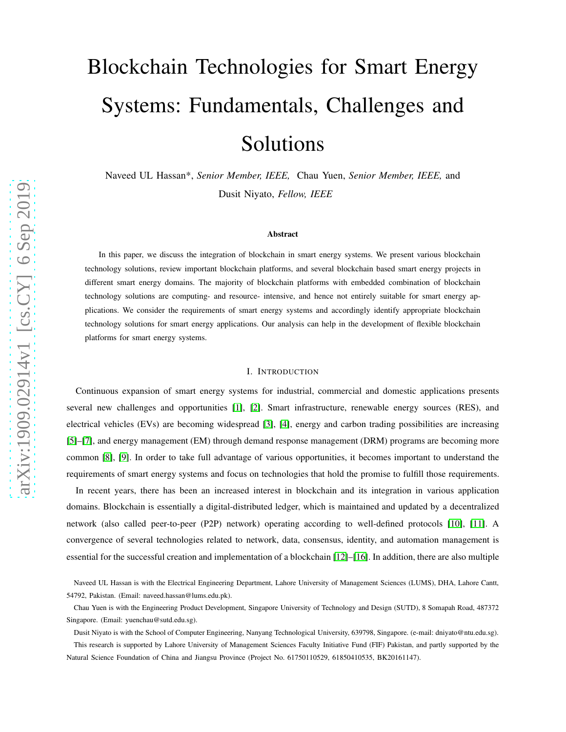# Blockchain Technologies for Smart Energy Systems: Fundamentals, Challenges and Solutions

Naveed UL Hassan\*, *Senior Member, IEEE,* Chau Yuen, *Senior Member, IEEE,* and Dusit Niyato, *Fellow, IEEE*

#### Abstract

In this paper, we discuss the integration of blockchain in smart energy systems. We present various blockchain technology solutions, review important blockchain platforms, and several blockchain based smart energy projects in different smart energy domains. The majority of blockchain platforms with embedded combination of blockchain technology solutions are computing- and resource- intensive, and hence not entirely suitable for smart energy applications. We consider the requirements of smart energy systems and accordingly identify appropriate blockchain technology solutions for smart energy applications. Our analysis can help in the development of flexible blockchain platforms for smart energy systems.

### I. INTRODUCTION

Continuous expansion of smart energy systems for industrial, commercial and domestic applications presents several new challenges and opportunities [\[1\]](#page-16-0), [\[2\]](#page-16-1). Smart infrastructure, renewable energy sources (RES), and electrical vehicles (EVs) are becoming widespread [\[3\]](#page-16-2), [\[4\]](#page-16-3), energy and carbon trading possibilities are increasing [\[5\]](#page-16-4)–[\[7\]](#page-17-0), and energy management (EM) through demand response management (DRM) programs are becoming more common [\[8\]](#page-17-1), [\[9\]](#page-17-2). In order to take full advantage of various opportunities, it becomes important to understand the requirements of smart energy systems and focus on technologies that hold the promise to fulfill those requirements.

In recent years, there has been an increased interest in blockchain and its integration in various application domains. Blockchain is essentially a digital-distributed ledger, which is maintained and updated by a decentralized network (also called peer-to-peer (P2P) network) operating according to well-defined protocols [\[10\]](#page-17-3), [\[11\]](#page-17-4). A convergence of several technologies related to network, data, consensus, identity, and automation management is essential for the successful creation and implementation of a blockchain [\[12\]](#page-17-5)–[\[16\]](#page-17-6). In addition, there are also multiple

Dusit Niyato is with the School of Computer Engineering, Nanyang Technological University, 639798, Singapore. (e-mail: dniyato@ntu.edu.sg).

This research is supported by Lahore University of Management Sciences Faculty Initiative Fund (FIF) Pakistan, and partly supported by the Natural Science Foundation of China and Jiangsu Province (Project No. 61750110529, 61850410535, BK20161147).

Naveed UL Hassan is with the Electrical Engineering Department, Lahore University of Management Sciences (LUMS), DHA, Lahore Cantt, 54792, Pakistan. (Email: naveed.hassan@lums.edu.pk).

Chau Yuen is with the Engineering Product Development, Singapore University of Technology and Design (SUTD), 8 Somapah Road, 487372 Singapore. (Email: yuenchau@sutd.edu.sg).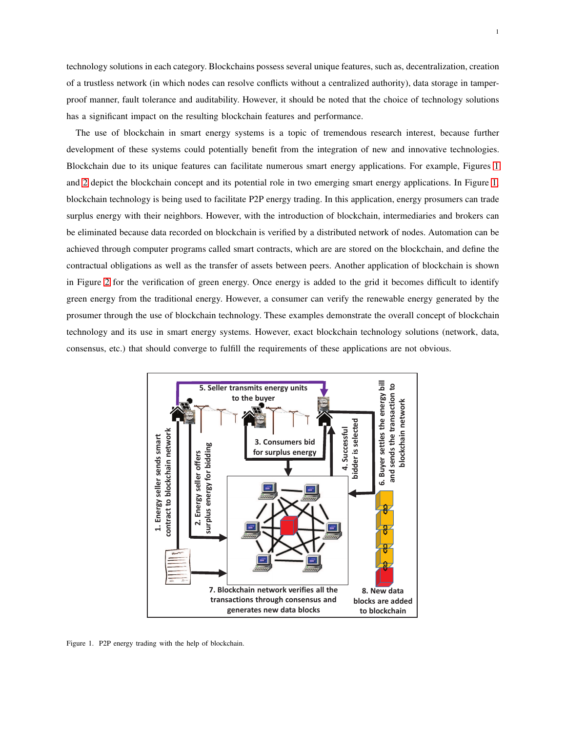technology solutions in each category. Blockchains possess several unique features, such as, decentralization, creation of a trustless network (in which nodes can resolve conflicts without a centralized authority), data storage in tamperproof manner, fault tolerance and auditability. However, it should be noted that the choice of technology solutions has a significant impact on the resulting blockchain features and performance.

The use of blockchain in smart energy systems is a topic of tremendous research interest, because further development of these systems could potentially benefit from the integration of new and innovative technologies. Blockchain due to its unique features can facilitate numerous smart energy applications. For example, Figures [1](#page-1-0) and [2](#page-2-0) depict the blockchain concept and its potential role in two emerging smart energy applications. In Figure [1,](#page-1-0) blockchain technology is being used to facilitate P2P energy trading. In this application, energy prosumers can trade surplus energy with their neighbors. However, with the introduction of blockchain, intermediaries and brokers can be eliminated because data recorded on blockchain is verified by a distributed network of nodes. Automation can be achieved through computer programs called smart contracts, which are are stored on the blockchain, and define the contractual obligations as well as the transfer of assets between peers. Another application of blockchain is shown in Figure [2](#page-2-0) for the verification of green energy. Once energy is added to the grid it becomes difficult to identify green energy from the traditional energy. However, a consumer can verify the renewable energy generated by the prosumer through the use of blockchain technology. These examples demonstrate the overall concept of blockchain technology and its use in smart energy systems. However, exact blockchain technology solutions (network, data, consensus, etc.) that should converge to fulfill the requirements of these applications are not obvious.



<span id="page-1-0"></span>Figure 1. P2P energy trading with the help of blockchain.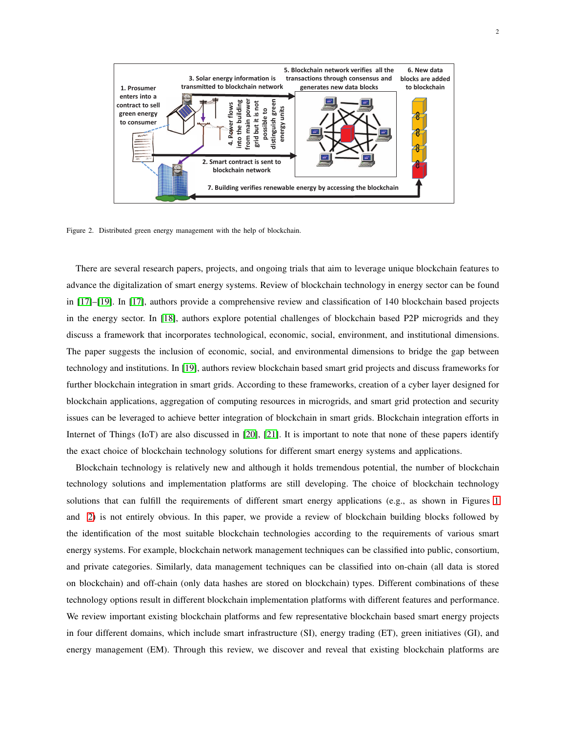

<span id="page-2-0"></span>Figure 2. Distributed green energy management with the help of blockchain.

There are several research papers, projects, and ongoing trials that aim to leverage unique blockchain features to advance the digitalization of smart energy systems. Review of blockchain technology in energy sector can be found in [\[17\]](#page-17-7)–[\[19\]](#page-17-8). In [\[17\]](#page-17-7), authors provide a comprehensive review and classification of 140 blockchain based projects in the energy sector. In [\[18\]](#page-17-9), authors explore potential challenges of blockchain based P2P microgrids and they discuss a framework that incorporates technological, economic, social, environment, and institutional dimensions. The paper suggests the inclusion of economic, social, and environmental dimensions to bridge the gap between technology and institutions. In [\[19\]](#page-17-8), authors review blockchain based smart grid projects and discuss frameworks for further blockchain integration in smart grids. According to these frameworks, creation of a cyber layer designed for blockchain applications, aggregation of computing resources in microgrids, and smart grid protection and security issues can be leveraged to achieve better integration of blockchain in smart grids. Blockchain integration efforts in Internet of Things (IoT) are also discussed in [\[20\]](#page-17-10), [\[21\]](#page-17-11). It is important to note that none of these papers identify the exact choice of blockchain technology solutions for different smart energy systems and applications.

Blockchain technology is relatively new and although it holds tremendous potential, the number of blockchain technology solutions and implementation platforms are still developing. The choice of blockchain technology solutions that can fulfill the requirements of different smart energy applications (e.g., as shown in Figures [1](#page-1-0) and [2\)](#page-2-0) is not entirely obvious. In this paper, we provide a review of blockchain building blocks followed by the identification of the most suitable blockchain technologies according to the requirements of various smart energy systems. For example, blockchain network management techniques can be classified into public, consortium, and private categories. Similarly, data management techniques can be classified into on-chain (all data is stored on blockchain) and off-chain (only data hashes are stored on blockchain) types. Different combinations of these technology options result in different blockchain implementation platforms with different features and performance. We review important existing blockchain platforms and few representative blockchain based smart energy projects in four different domains, which include smart infrastructure (SI), energy trading (ET), green initiatives (GI), and energy management (EM). Through this review, we discover and reveal that existing blockchain platforms are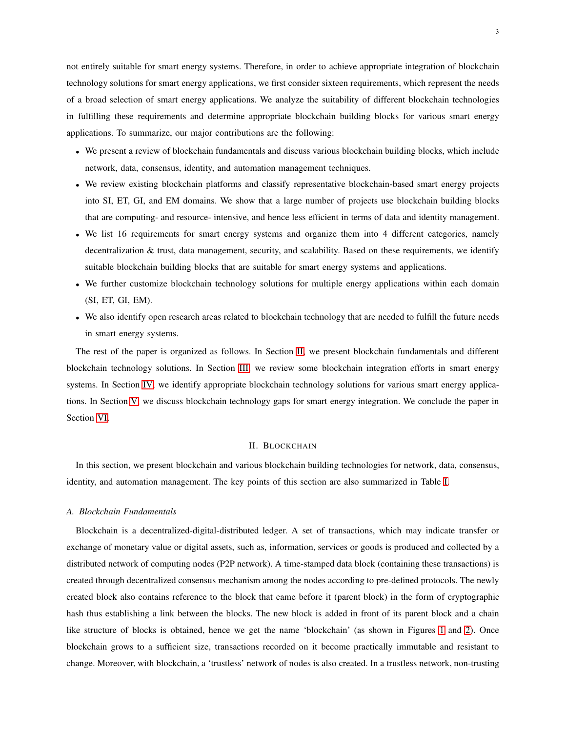not entirely suitable for smart energy systems. Therefore, in order to achieve appropriate integration of blockchain technology solutions for smart energy applications, we first consider sixteen requirements, which represent the needs of a broad selection of smart energy applications. We analyze the suitability of different blockchain technologies in fulfilling these requirements and determine appropriate blockchain building blocks for various smart energy applications. To summarize, our major contributions are the following:

- We present a review of blockchain fundamentals and discuss various blockchain building blocks, which include network, data, consensus, identity, and automation management techniques.
- We review existing blockchain platforms and classify representative blockchain-based smart energy projects into SI, ET, GI, and EM domains. We show that a large number of projects use blockchain building blocks that are computing- and resource- intensive, and hence less efficient in terms of data and identity management.
- We list 16 requirements for smart energy systems and organize them into 4 different categories, namely decentralization & trust, data management, security, and scalability. Based on these requirements, we identify suitable blockchain building blocks that are suitable for smart energy systems and applications.
- We further customize blockchain technology solutions for multiple energy applications within each domain (SI, ET, GI, EM).
- We also identify open research areas related to blockchain technology that are needed to fulfill the future needs in smart energy systems.

The rest of the paper is organized as follows. In Section [II,](#page-3-0) we present blockchain fundamentals and different blockchain technology solutions. In Section [III,](#page-6-0) we review some blockchain integration efforts in smart energy systems. In Section [IV,](#page-10-0) we identify appropriate blockchain technology solutions for various smart energy applications. In Section [V,](#page-14-0) we discuss blockchain technology gaps for smart energy integration. We conclude the paper in Section [VI.](#page-16-5)

#### II. BLOCKCHAIN

<span id="page-3-0"></span>In this section, we present blockchain and various blockchain building technologies for network, data, consensus, identity, and automation management. The key points of this section are also summarized in Table [I.](#page-4-0)

#### *A. Blockchain Fundamentals*

Blockchain is a decentralized-digital-distributed ledger. A set of transactions, which may indicate transfer or exchange of monetary value or digital assets, such as, information, services or goods is produced and collected by a distributed network of computing nodes (P2P network). A time-stamped data block (containing these transactions) is created through decentralized consensus mechanism among the nodes according to pre-defined protocols. The newly created block also contains reference to the block that came before it (parent block) in the form of cryptographic hash thus establishing a link between the blocks. The new block is added in front of its parent block and a chain like structure of blocks is obtained, hence we get the name 'blockchain' (as shown in Figures [1](#page-1-0) and [2\)](#page-2-0). Once blockchain grows to a sufficient size, transactions recorded on it become practically immutable and resistant to change. Moreover, with blockchain, a 'trustless' network of nodes is also created. In a trustless network, non-trusting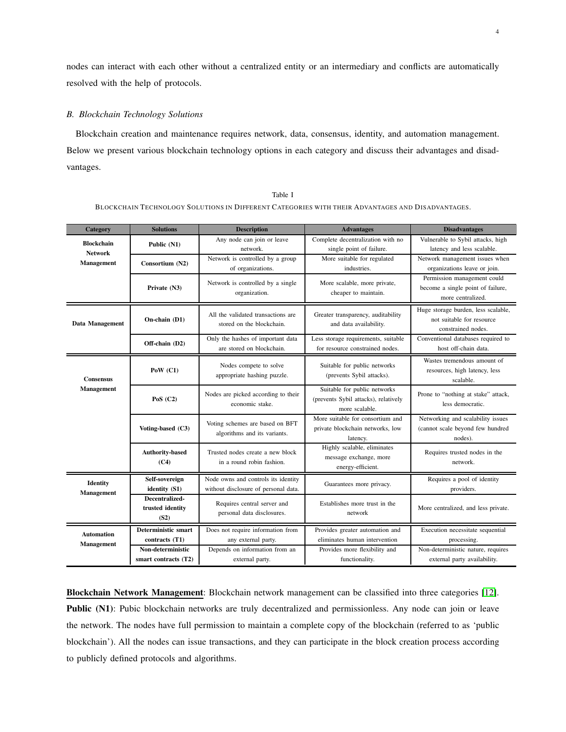nodes can interact with each other without a centralized entity or an intermediary and conflicts are automatically resolved with the help of protocols.

# *B. Blockchain Technology Solutions*

Blockchain creation and maintenance requires network, data, consensus, identity, and automation management. Below we present various blockchain technology options in each category and discuss their advantages and disadvantages.

<span id="page-4-0"></span>

| Category                               | <b>Solutions</b>                           | <b>Description</b>                                                          | <b>Advantages</b>                                                                      | <b>Disadvantages</b>                                                                   |  |  |  |
|----------------------------------------|--------------------------------------------|-----------------------------------------------------------------------------|----------------------------------------------------------------------------------------|----------------------------------------------------------------------------------------|--|--|--|
| <b>Blockchain</b><br><b>Network</b>    | Public (N1)                                | Any node can join or leave<br>network.                                      | Complete decentralization with no<br>single point of failure.                          | Vulnerable to Sybil attacks, high<br>latency and less scalable.                        |  |  |  |
| Management                             | Consortium (N2)                            | Network is controlled by a group<br>of organizations.                       | More suitable for regulated<br>industries.                                             | Network management issues when<br>organizations leave or join.                         |  |  |  |
|                                        | Private (N3)                               | Network is controlled by a single<br>organization.                          | More scalable, more private,<br>cheaper to maintain.                                   | Permission management could<br>become a single point of failure,<br>more centralized.  |  |  |  |
| <b>Data Management</b>                 | On-chain (D1)                              | All the validated transactions are<br>stored on the blockchain.             | Greater transparency, auditability<br>and data availability.                           | Huge storage burden, less scalable,<br>not suitable for resource<br>constrained nodes. |  |  |  |
|                                        | Off-chain (D2)                             | Only the hashes of important data<br>are stored on blockchain.              | Less storage requirements, suitable<br>for resource constrained nodes.                 | Conventional databases required to<br>host off-chain data.                             |  |  |  |
| <b>Consensus</b>                       | PoW $(C1)$                                 | Nodes compete to solve<br>appropriate hashing puzzle.                       | Suitable for public networks<br>(prevents Sybil attacks).                              | Wastes tremendous amount of<br>resources, high latency, less<br>scalable.              |  |  |  |
| Management                             | PoS $(C2)$                                 | Nodes are picked according to their<br>economic stake.                      | Suitable for public networks<br>(prevents Sybil attacks), relatively<br>more scalable. | Prone to "nothing at stake" attack,<br>less democratic.                                |  |  |  |
|                                        | Voting-based (C3)                          | Voting schemes are based on BFT<br>algorithms and its variants.             | More suitable for consortium and<br>private blockchain networks, low<br>latency.       | Networking and scalability issues<br>(cannot scale beyond few hundred<br>nodes).       |  |  |  |
|                                        | <b>Authority-based</b><br>(C4)             | Trusted nodes create a new block<br>in a round robin fashion.               | Highly scalable, eliminates<br>message exchange, more<br>energy-efficient.             | Requires trusted nodes in the<br>network.                                              |  |  |  |
| Identity<br>Management                 | Self-sovereign<br>identity (S1)            | Node owns and controls its identity<br>without disclosure of personal data. | Guarantees more privacy.                                                               | Requires a pool of identity<br>providers.                                              |  |  |  |
|                                        | Decentralized-<br>trusted identity<br>(S2) | Requires central server and<br>personal data disclosures.                   | Establishes more trust in the<br>network                                               | More centralized, and less private.                                                    |  |  |  |
| <b>Automation</b><br><b>Management</b> | Deterministic smart<br>contracts (T1)      | Does not require information from<br>any external party.                    | Provides greater automation and<br>eliminates human intervention                       | Execution necessitate sequential<br>processing.                                        |  |  |  |
|                                        | Non-deterministic<br>smart contracts (T2)  | Depends on information from an<br>external party.                           | Provides more flexibility and<br>functionality.                                        | Non-deterministic nature, requires<br>external party availability.                     |  |  |  |

Table I BLOCKCHAIN TECHNOLOGY SOLUTIONS IN DIFFERENT CATEGORIES WITH THEIR ADVANTAGES AND DISADVANTAGES.

Blockchain Network Management: Blockchain network management can be classified into three categories [\[12\]](#page-17-5). Public (N1): Pubic blockchain networks are truly decentralized and permissionless. Any node can join or leave the network. The nodes have full permission to maintain a complete copy of the blockchain (referred to as 'public blockchain'). All the nodes can issue transactions, and they can participate in the block creation process according to publicly defined protocols and algorithms.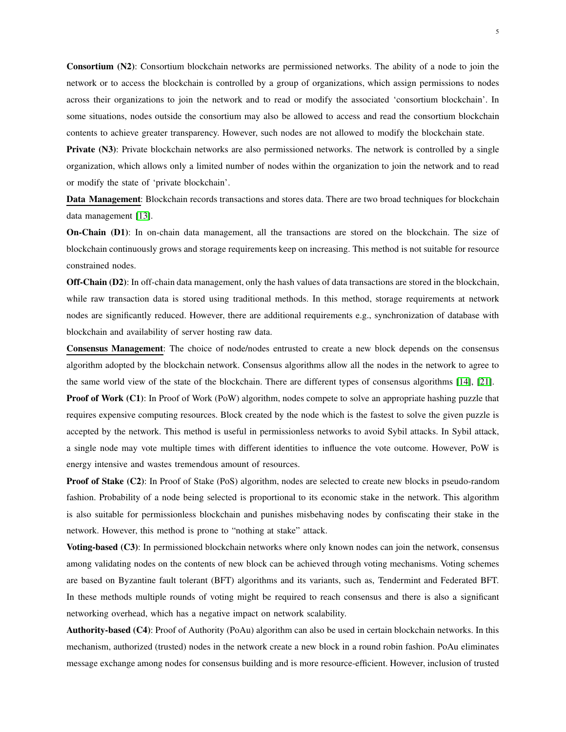Consortium (N2): Consortium blockchain networks are permissioned networks. The ability of a node to join the network or to access the blockchain is controlled by a group of organizations, which assign permissions to nodes across their organizations to join the network and to read or modify the associated 'consortium blockchain'. In some situations, nodes outside the consortium may also be allowed to access and read the consortium blockchain contents to achieve greater transparency. However, such nodes are not allowed to modify the blockchain state.

Private (N3): Private blockchain networks are also permissioned networks. The network is controlled by a single organization, which allows only a limited number of nodes within the organization to join the network and to read or modify the state of 'private blockchain'.

Data Management: Blockchain records transactions and stores data. There are two broad techniques for blockchain data management [\[13\]](#page-17-12).

On-Chain (D1): In on-chain data management, all the transactions are stored on the blockchain. The size of blockchain continuously grows and storage requirements keep on increasing. This method is not suitable for resource constrained nodes.

Off-Chain (D2): In off-chain data management, only the hash values of data transactions are stored in the blockchain, while raw transaction data is stored using traditional methods. In this method, storage requirements at network nodes are significantly reduced. However, there are additional requirements e.g., synchronization of database with blockchain and availability of server hosting raw data.

Consensus Management: The choice of node/nodes entrusted to create a new block depends on the consensus algorithm adopted by the blockchain network. Consensus algorithms allow all the nodes in the network to agree to the same world view of the state of the blockchain. There are different types of consensus algorithms [\[14\]](#page-17-13), [\[21\]](#page-17-11).

**Proof of Work (C1):** In Proof of Work (PoW) algorithm, nodes compete to solve an appropriate hashing puzzle that requires expensive computing resources. Block created by the node which is the fastest to solve the given puzzle is accepted by the network. This method is useful in permissionless networks to avoid Sybil attacks. In Sybil attack, a single node may vote multiple times with different identities to influence the vote outcome. However, PoW is energy intensive and wastes tremendous amount of resources.

Proof of Stake (C2): In Proof of Stake (PoS) algorithm, nodes are selected to create new blocks in pseudo-random fashion. Probability of a node being selected is proportional to its economic stake in the network. This algorithm is also suitable for permissionless blockchain and punishes misbehaving nodes by confiscating their stake in the network. However, this method is prone to "nothing at stake" attack.

Voting-based (C3): In permissioned blockchain networks where only known nodes can join the network, consensus among validating nodes on the contents of new block can be achieved through voting mechanisms. Voting schemes are based on Byzantine fault tolerant (BFT) algorithms and its variants, such as, Tendermint and Federated BFT. In these methods multiple rounds of voting might be required to reach consensus and there is also a significant networking overhead, which has a negative impact on network scalability.

Authority-based (C4): Proof of Authority (PoAu) algorithm can also be used in certain blockchain networks. In this mechanism, authorized (trusted) nodes in the network create a new block in a round robin fashion. PoAu eliminates message exchange among nodes for consensus building and is more resource-efficient. However, inclusion of trusted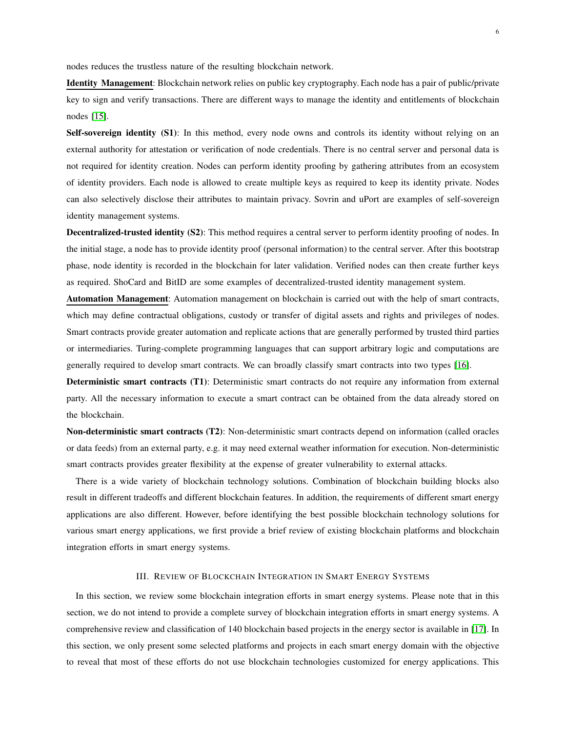nodes reduces the trustless nature of the resulting blockchain network.

Identity Management: Blockchain network relies on public key cryptography. Each node has a pair of public/private key to sign and verify transactions. There are different ways to manage the identity and entitlements of blockchain nodes [\[15\]](#page-17-14).

Self-sovereign identity (S1): In this method, every node owns and controls its identity without relying on an external authority for attestation or verification of node credentials. There is no central server and personal data is not required for identity creation. Nodes can perform identity proofing by gathering attributes from an ecosystem of identity providers. Each node is allowed to create multiple keys as required to keep its identity private. Nodes can also selectively disclose their attributes to maintain privacy. Sovrin and uPort are examples of self-sovereign identity management systems.

Decentralized-trusted identity (S2): This method requires a central server to perform identity proofing of nodes. In the initial stage, a node has to provide identity proof (personal information) to the central server. After this bootstrap phase, node identity is recorded in the blockchain for later validation. Verified nodes can then create further keys as required. ShoCard and BitID are some examples of decentralized-trusted identity management system.

Automation Management: Automation management on blockchain is carried out with the help of smart contracts, which may define contractual obligations, custody or transfer of digital assets and rights and privileges of nodes. Smart contracts provide greater automation and replicate actions that are generally performed by trusted third parties or intermediaries. Turing-complete programming languages that can support arbitrary logic and computations are generally required to develop smart contracts. We can broadly classify smart contracts into two types [\[16\]](#page-17-6).

Deterministic smart contracts (T1): Deterministic smart contracts do not require any information from external party. All the necessary information to execute a smart contract can be obtained from the data already stored on the blockchain.

Non-deterministic smart contracts (T2): Non-deterministic smart contracts depend on information (called oracles or data feeds) from an external party, e.g. it may need external weather information for execution. Non-deterministic smart contracts provides greater flexibility at the expense of greater vulnerability to external attacks.

There is a wide variety of blockchain technology solutions. Combination of blockchain building blocks also result in different tradeoffs and different blockchain features. In addition, the requirements of different smart energy applications are also different. However, before identifying the best possible blockchain technology solutions for various smart energy applications, we first provide a brief review of existing blockchain platforms and blockchain integration efforts in smart energy systems.

# III. REVIEW OF BLOCKCHAIN INTEGRATION IN SMART ENERGY SYSTEMS

<span id="page-6-0"></span>In this section, we review some blockchain integration efforts in smart energy systems. Please note that in this section, we do not intend to provide a complete survey of blockchain integration efforts in smart energy systems. A comprehensive review and classification of 140 blockchain based projects in the energy sector is available in [\[17\]](#page-17-7). In this section, we only present some selected platforms and projects in each smart energy domain with the objective to reveal that most of these efforts do not use blockchain technologies customized for energy applications. This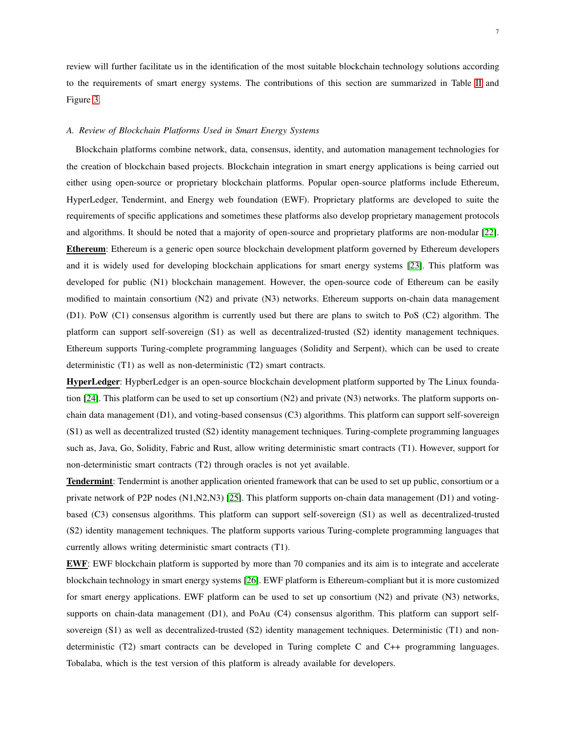review will further facilitate us in the identification of the most suitable blockchain technology solutions according to the requirements of smart energy systems. The contributions of this section are summarized in Table [II](#page-8-0) and Figure [3.](#page-8-1)

# *A. Review of Blockchain Platforms Used in Smart Energy Systems*

Blockchain platforms combine network, data, consensus, identity, and automation management technologies for the creation of blockchain based projects. Blockchain integration in smart energy applications is being carried out either using open-source or proprietary blockchain platforms. Popular open-source platforms include Ethereum, HyperLedger, Tendermint, and Energy web foundation (EWF). Proprietary platforms are developed to suite the requirements of specific applications and sometimes these platforms also develop proprietary management protocols and algorithms. It should be noted that a majority of open-source and proprietary platforms are non-modular [\[22\]](#page-17-15). Ethereum: Ethereum is a generic open source blockchain development platform governed by Ethereum developers and it is widely used for developing blockchain applications for smart energy systems [\[23\]](#page-17-16). This platform was developed for public (N1) blockchain management. However, the open-source code of Ethereum can be easily modified to maintain consortium (N2) and private (N3) networks. Ethereum supports on-chain data management (D1). PoW (C1) consensus algorithm is currently used but there are plans to switch to PoS (C2) algorithm. The platform can support self-sovereign (S1) as well as decentralized-trusted (S2) identity management techniques. Ethereum supports Turing-complete programming languages (Solidity and Serpent), which can be used to create deterministic (T1) as well as non-deterministic (T2) smart contracts.

HyperLedger: HypberLedger is an open-source blockchain development platform supported by The Linux foundation [\[24\]](#page-17-17). This platform can be used to set up consortium (N2) and private (N3) networks. The platform supports onchain data management (D1), and voting-based consensus (C3) algorithms. This platform can support self-sovereign (S1) as well as decentralized trusted (S2) identity management techniques. Turing-complete programming languages such as, Java, Go, Solidity, Fabric and Rust, allow writing deterministic smart contracts (T1). However, support for non-deterministic smart contracts (T2) through oracles is not yet available.

Tendermint: Tendermint is another application oriented framework that can be used to set up public, consortium or a private network of P2P nodes (N1,N2,N3) [\[25\]](#page-17-18). This platform supports on-chain data management (D1) and votingbased (C3) consensus algorithms. This platform can support self-sovereign (S1) as well as decentralized-trusted (S2) identity management techniques. The platform supports various Turing-complete programming languages that currently allows writing deterministic smart contracts (T1).

EWF: EWF blockchain platform is supported by more than 70 companies and its aim is to integrate and accelerate blockchain technology in smart energy systems [\[26\]](#page-17-19). EWF platform is Ethereum-compliant but it is more customized for smart energy applications. EWF platform can be used to set up consortium (N2) and private (N3) networks, supports on chain-data management (D1), and PoAu (C4) consensus algorithm. This platform can support selfsovereign (S1) as well as decentralized-trusted (S2) identity management techniques. Deterministic (T1) and nondeterministic (T2) smart contracts can be developed in Turing complete C and C++ programming languages. Tobalaba, which is the test version of this platform is already available for developers.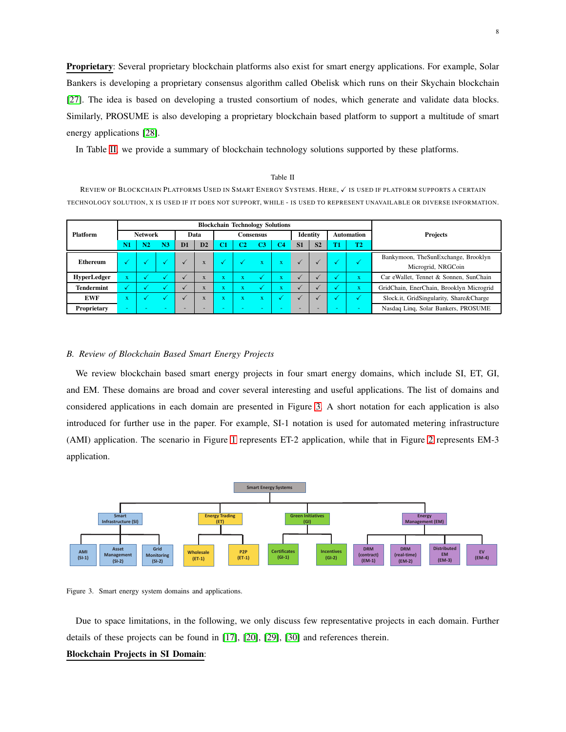Proprietary: Several proprietary blockchain platforms also exist for smart energy applications. For example, Solar Bankers is developing a proprietary consensus algorithm called Obelisk which runs on their Skychain blockchain [\[27\]](#page-17-20). The idea is based on developing a trusted consortium of nodes, which generate and validate data blocks. Similarly, PROSUME is also developing a proprietary blockchain based platform to support a multitude of smart energy applications [\[28\]](#page-17-21).

In Table [II,](#page-8-0) we provide a summary of blockchain technology solutions supported by these platforms.

#### Table II

<span id="page-8-0"></span>REVIEW OF BLOCKCHAIN PLATFORMS USED IN SMART ENERGY SYSTEMS. HERE,  $\checkmark$  is used if platform supports a certain TECHNOLOGY SOLUTION, X IS USED IF IT DOES NOT SUPPORT, WHILE - IS USED TO REPRESENT UNAVAILABLE OR DIVERSE INFORMATION.

|                   | <b>Blockchain Technology Solutions</b> |                |    |                |                |                           |                          |                         |          |                |                   |    |                         |                                          |                    |
|-------------------|----------------------------------------|----------------|----|----------------|----------------|---------------------------|--------------------------|-------------------------|----------|----------------|-------------------|----|-------------------------|------------------------------------------|--------------------|
| <b>Platform</b>   | <b>Network</b>                         |                |    | Data           |                | <b>Consensus</b>          |                          |                         | Identity |                | <b>Automation</b> |    | Projects                |                                          |                    |
|                   | N1                                     | N <sub>2</sub> | N3 | D <sub>1</sub> | D <sub>2</sub> | C1                        | C2                       | CЗ                      | C4       | S <sub>1</sub> | S <sub>2</sub>    | T1 | T <sub>2</sub>          |                                          |                    |
| <b>Ethereum</b>   | √                                      |                |    |                |                |                           |                          | $\overline{\mathbf{x}}$ |          |                |                   |    |                         | Bankymoon, TheSunExchange, Brooklyn      |                    |
|                   |                                        |                |    |                | $\mathbf{A}$   |                           | w                        |                         | х.       |                |                   |    |                         |                                          | Microgrid, NRGCoin |
| HyperLedger       | $\bf{X}$                               |                |    |                | $\mathbf{A}$   |                           | л                        |                         | л.       |                |                   |    | $\overline{\mathbf{X}}$ | Car eWallet, Tennet & Sonnen, SunChain   |                    |
| <b>Tendermint</b> | √                                      |                |    |                | $\mathbf{A}$   | $\boldsymbol{\mathsf{A}}$ | <b>Service</b><br>л      |                         | л.       |                |                   |    | x                       | GridChain, EnerChain, Brooklyn Microgrid |                    |
| <b>EWF</b>        | $\bf{X}$                               |                |    |                |                |                           | <b>Service</b><br>л      | $\mathbf{v}$<br>л       |          |                |                   |    |                         | Slock.it, GridSingularity, Share&Charge  |                    |
| Proprietary       | ۰                                      |                |    | -              |                |                           | $\overline{\phantom{a}}$ |                         |          | -              |                   |    |                         | Nasdaq Linq, Solar Bankers, PROSUME      |                    |

#### *B. Review of Blockchain Based Smart Energy Projects*

We review blockchain based smart energy projects in four smart energy domains, which include SI, ET, GI, and EM. These domains are broad and cover several interesting and useful applications. The list of domains and considered applications in each domain are presented in Figure [3.](#page-8-1) A short notation for each application is also introduced for further use in the paper. For example, SI-1 notation is used for automated metering infrastructure (AMI) application. The scenario in Figure [1](#page-1-0) represents ET-2 application, while that in Figure [2](#page-2-0) represents EM-3 application.



<span id="page-8-1"></span>Figure 3. Smart energy system domains and applications.

Due to space limitations, in the following, we only discuss few representative projects in each domain. Further details of these projects can be found in [\[17\]](#page-17-7), [\[20\]](#page-17-10), [\[29\]](#page-17-22), [\[30\]](#page-17-23) and references therein.

# Blockchain Projects in SI Domain: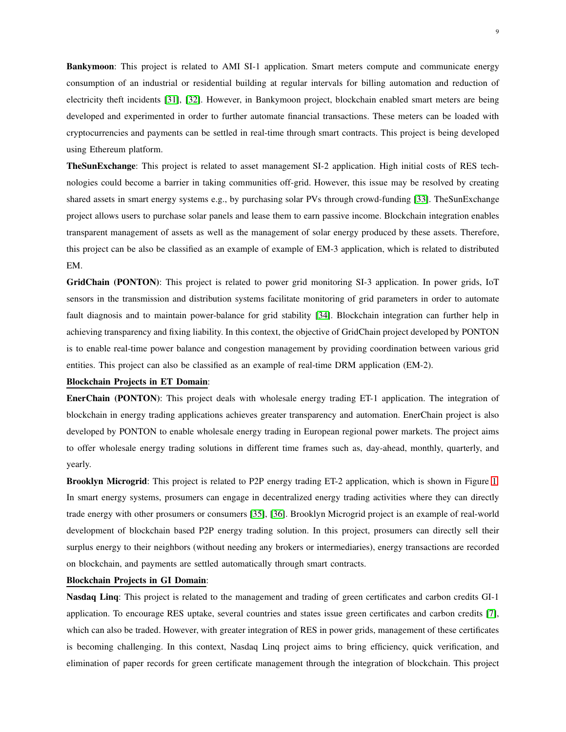Bankymoon: This project is related to AMI SI-1 application. Smart meters compute and communicate energy consumption of an industrial or residential building at regular intervals for billing automation and reduction of electricity theft incidents [\[31\]](#page-17-24), [\[32\]](#page-17-25). However, in Bankymoon project, blockchain enabled smart meters are being developed and experimented in order to further automate financial transactions. These meters can be loaded with cryptocurrencies and payments can be settled in real-time through smart contracts. This project is being developed using Ethereum platform.

TheSunExchange: This project is related to asset management SI-2 application. High initial costs of RES technologies could become a barrier in taking communities off-grid. However, this issue may be resolved by creating shared assets in smart energy systems e.g., by purchasing solar PVs through crowd-funding [\[33\]](#page-17-26). The SunExchange project allows users to purchase solar panels and lease them to earn passive income. Blockchain integration enables transparent management of assets as well as the management of solar energy produced by these assets. Therefore, this project can be also be classified as an example of example of EM-3 application, which is related to distributed EM.

GridChain (PONTON): This project is related to power grid monitoring SI-3 application. In power grids, IoT sensors in the transmission and distribution systems facilitate monitoring of grid parameters in order to automate fault diagnosis and to maintain power-balance for grid stability [\[34\]](#page-17-27). Blockchain integration can further help in achieving transparency and fixing liability. In this context, the objective of GridChain project developed by PONTON is to enable real-time power balance and congestion management by providing coordination between various grid entities. This project can also be classified as an example of real-time DRM application (EM-2).

### Blockchain Projects in ET Domain:

EnerChain (PONTON): This project deals with wholesale energy trading ET-1 application. The integration of blockchain in energy trading applications achieves greater transparency and automation. EnerChain project is also developed by PONTON to enable wholesale energy trading in European regional power markets. The project aims to offer wholesale energy trading solutions in different time frames such as, day-ahead, monthly, quarterly, and yearly.

Brooklyn Microgrid: This project is related to P2P energy trading ET-2 application, which is shown in Figure [1.](#page-1-0) In smart energy systems, prosumers can engage in decentralized energy trading activities where they can directly trade energy with other prosumers or consumers [\[35\]](#page-18-0), [\[36\]](#page-18-1). Brooklyn Microgrid project is an example of real-world development of blockchain based P2P energy trading solution. In this project, prosumers can directly sell their surplus energy to their neighbors (without needing any brokers or intermediaries), energy transactions are recorded on blockchain, and payments are settled automatically through smart contracts.

# Blockchain Projects in GI Domain:

Nasdaq Linq: This project is related to the management and trading of green certificates and carbon credits GI-1 application. To encourage RES uptake, several countries and states issue green certificates and carbon credits [\[7\]](#page-17-0), which can also be traded. However, with greater integration of RES in power grids, management of these certificates is becoming challenging. In this context, Nasdaq Linq project aims to bring efficiency, quick verification, and elimination of paper records for green certificate management through the integration of blockchain. This project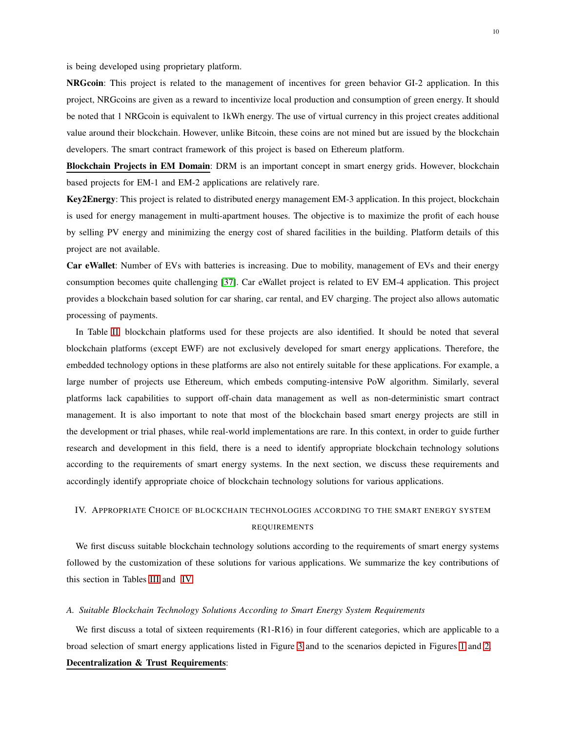is being developed using proprietary platform.

NRGcoin: This project is related to the management of incentives for green behavior GI-2 application. In this project, NRGcoins are given as a reward to incentivize local production and consumption of green energy. It should be noted that 1 NRGcoin is equivalent to 1kWh energy. The use of virtual currency in this project creates additional value around their blockchain. However, unlike Bitcoin, these coins are not mined but are issued by the blockchain developers. The smart contract framework of this project is based on Ethereum platform.

Blockchain Projects in EM Domain: DRM is an important concept in smart energy grids. However, blockchain based projects for EM-1 and EM-2 applications are relatively rare.

Key2Energy: This project is related to distributed energy management EM-3 application. In this project, blockchain is used for energy management in multi-apartment houses. The objective is to maximize the profit of each house by selling PV energy and minimizing the energy cost of shared facilities in the building. Platform details of this project are not available.

Car eWallet: Number of EVs with batteries is increasing. Due to mobility, management of EVs and their energy consumption becomes quite challenging [\[37\]](#page-18-2). Car eWallet project is related to EV EM-4 application. This project provides a blockchain based solution for car sharing, car rental, and EV charging. The project also allows automatic processing of payments.

In Table [II,](#page-8-0) blockchain platforms used for these projects are also identified. It should be noted that several blockchain platforms (except EWF) are not exclusively developed for smart energy applications. Therefore, the embedded technology options in these platforms are also not entirely suitable for these applications. For example, a large number of projects use Ethereum, which embeds computing-intensive PoW algorithm. Similarly, several platforms lack capabilities to support off-chain data management as well as non-deterministic smart contract management. It is also important to note that most of the blockchain based smart energy projects are still in the development or trial phases, while real-world implementations are rare. In this context, in order to guide further research and development in this field, there is a need to identify appropriate blockchain technology solutions according to the requirements of smart energy systems. In the next section, we discuss these requirements and accordingly identify appropriate choice of blockchain technology solutions for various applications.

# <span id="page-10-0"></span>IV. APPROPRIATE CHOICE OF BLOCKCHAIN TECHNOLOGIES ACCORDING TO THE SMART ENERGY SYSTEM REQUIREMENTS

We first discuss suitable blockchain technology solutions according to the requirements of smart energy systems followed by the customization of these solutions for various applications. We summarize the key contributions of this section in Tables [III](#page-13-0) and [IV.](#page-15-0)

# *A. Suitable Blockchain Technology Solutions According to Smart Energy System Requirements*

We first discuss a total of sixteen requirements (R1-R16) in four different categories, which are applicable to a broad selection of smart energy applications listed in Figure [3](#page-8-1) and to the scenarios depicted in Figures [1](#page-1-0) and [2.](#page-2-0) Decentralization & Trust Requirements: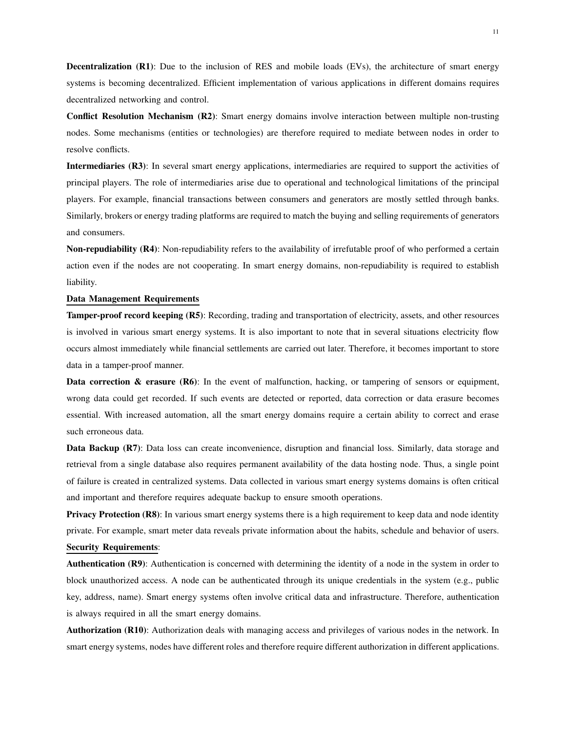Decentralization (R1): Due to the inclusion of RES and mobile loads (EVs), the architecture of smart energy systems is becoming decentralized. Efficient implementation of various applications in different domains requires decentralized networking and control.

Conflict Resolution Mechanism (R2): Smart energy domains involve interaction between multiple non-trusting nodes. Some mechanisms (entities or technologies) are therefore required to mediate between nodes in order to resolve conflicts.

Intermediaries (R3): In several smart energy applications, intermediaries are required to support the activities of principal players. The role of intermediaries arise due to operational and technological limitations of the principal players. For example, financial transactions between consumers and generators are mostly settled through banks. Similarly, brokers or energy trading platforms are required to match the buying and selling requirements of generators and consumers.

Non-repudiability (R4): Non-repudiability refers to the availability of irrefutable proof of who performed a certain action even if the nodes are not cooperating. In smart energy domains, non-repudiability is required to establish liability.

# Data Management Requirements

Tamper-proof record keeping (R5): Recording, trading and transportation of electricity, assets, and other resources is involved in various smart energy systems. It is also important to note that in several situations electricity flow occurs almost immediately while financial settlements are carried out later. Therefore, it becomes important to store data in a tamper-proof manner.

**Data correction & erasure (R6)**: In the event of malfunction, hacking, or tampering of sensors or equipment, wrong data could get recorded. If such events are detected or reported, data correction or data erasure becomes essential. With increased automation, all the smart energy domains require a certain ability to correct and erase such erroneous data.

Data Backup (R7): Data loss can create inconvenience, disruption and financial loss. Similarly, data storage and retrieval from a single database also requires permanent availability of the data hosting node. Thus, a single point of failure is created in centralized systems. Data collected in various smart energy systems domains is often critical and important and therefore requires adequate backup to ensure smooth operations.

Privacy Protection (R8): In various smart energy systems there is a high requirement to keep data and node identity private. For example, smart meter data reveals private information about the habits, schedule and behavior of users. Security Requirements:

Authentication (R9): Authentication is concerned with determining the identity of a node in the system in order to block unauthorized access. A node can be authenticated through its unique credentials in the system (e.g., public key, address, name). Smart energy systems often involve critical data and infrastructure. Therefore, authentication is always required in all the smart energy domains.

Authorization (R10): Authorization deals with managing access and privileges of various nodes in the network. In smart energy systems, nodes have different roles and therefore require different authorization in different applications.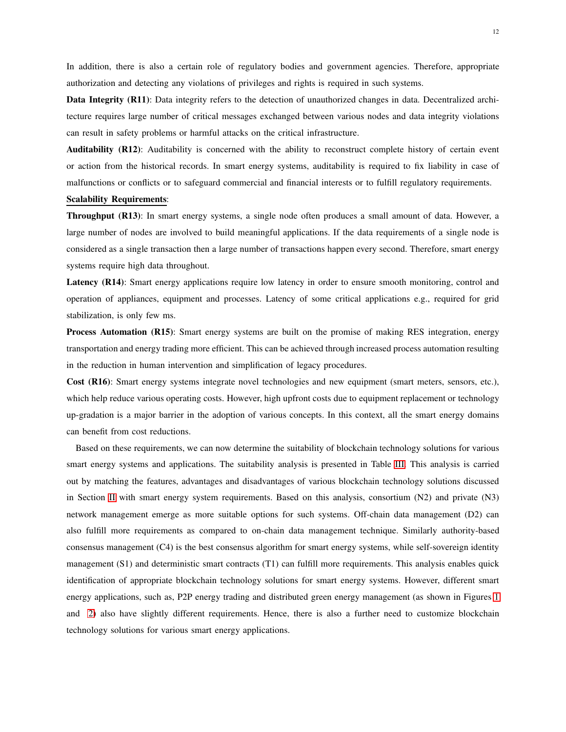In addition, there is also a certain role of regulatory bodies and government agencies. Therefore, appropriate authorization and detecting any violations of privileges and rights is required in such systems.

Data Integrity (R11): Data integrity refers to the detection of unauthorized changes in data. Decentralized architecture requires large number of critical messages exchanged between various nodes and data integrity violations can result in safety problems or harmful attacks on the critical infrastructure.

Auditability (R12): Auditability is concerned with the ability to reconstruct complete history of certain event or action from the historical records. In smart energy systems, auditability is required to fix liability in case of malfunctions or conflicts or to safeguard commercial and financial interests or to fulfill regulatory requirements.

#### Scalability Requirements:

Throughput (R13): In smart energy systems, a single node often produces a small amount of data. However, a large number of nodes are involved to build meaningful applications. If the data requirements of a single node is considered as a single transaction then a large number of transactions happen every second. Therefore, smart energy systems require high data throughout.

Latency (R14): Smart energy applications require low latency in order to ensure smooth monitoring, control and operation of appliances, equipment and processes. Latency of some critical applications e.g., required for grid stabilization, is only few ms.

Process Automation (R15): Smart energy systems are built on the promise of making RES integration, energy transportation and energy trading more efficient. This can be achieved through increased process automation resulting in the reduction in human intervention and simplification of legacy procedures.

Cost (R16): Smart energy systems integrate novel technologies and new equipment (smart meters, sensors, etc.), which help reduce various operating costs. However, high upfront costs due to equipment replacement or technology up-gradation is a major barrier in the adoption of various concepts. In this context, all the smart energy domains can benefit from cost reductions.

Based on these requirements, we can now determine the suitability of blockchain technology solutions for various smart energy systems and applications. The suitability analysis is presented in Table [III.](#page-13-0) This analysis is carried out by matching the features, advantages and disadvantages of various blockchain technology solutions discussed in Section [II](#page-3-0) with smart energy system requirements. Based on this analysis, consortium (N2) and private (N3) network management emerge as more suitable options for such systems. Off-chain data management (D2) can also fulfill more requirements as compared to on-chain data management technique. Similarly authority-based consensus management (C4) is the best consensus algorithm for smart energy systems, while self-sovereign identity management (S1) and deterministic smart contracts (T1) can fulfill more requirements. This analysis enables quick identification of appropriate blockchain technology solutions for smart energy systems. However, different smart energy applications, such as, P2P energy trading and distributed green energy management (as shown in Figures [1](#page-1-0) and [2\)](#page-2-0) also have slightly different requirements. Hence, there is also a further need to customize blockchain technology solutions for various smart energy applications.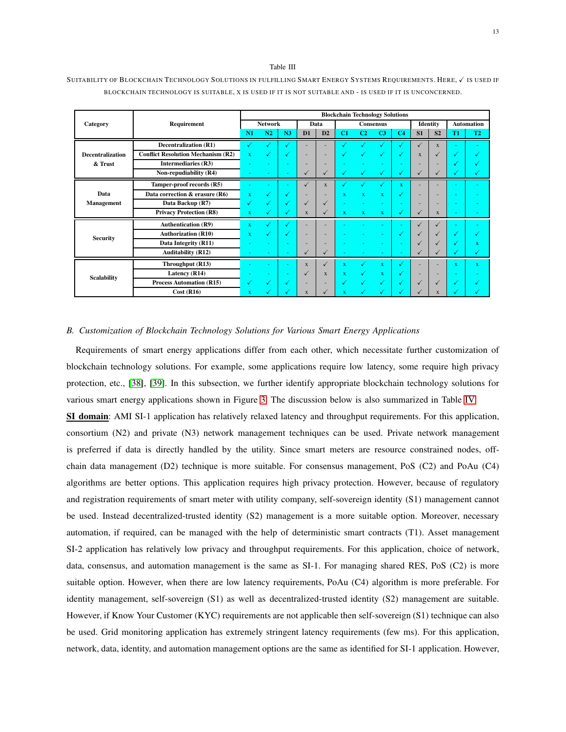#### Table III

# <span id="page-13-0"></span>SUITABILITY OF BLOCKCHAIN TECHNOLOGY SOLUTIONS IN FULFILLING SMART ENERGY SYSTEMS REQUIREMENTS. HERE,  $\checkmark$  is used if BLOCKCHAIN TECHNOLOGY IS SUITABLE, X IS USED IF IT IS NOT SUITABLE AND - IS USED IF IT IS UNCONCERNED.

|                         |                                           | <b>Blockchain Technology Solutions</b> |    |              |                |              |              |                  |                |                |              |                   |                      |                |
|-------------------------|-------------------------------------------|----------------------------------------|----|--------------|----------------|--------------|--------------|------------------|----------------|----------------|--------------|-------------------|----------------------|----------------|
| Category                | Requirement                               | <b>Network</b>                         |    | Data         |                |              |              | <b>Consensus</b> |                | Identity       |              | <b>Automation</b> |                      |                |
|                         |                                           |                                        | N2 | N3           | D <sub>1</sub> | D2           | C1           | C <sub>2</sub>   | C <sub>3</sub> | C <sub>4</sub> | S1           | S <sub>2</sub>    | T <sub>1</sub>       | T <sub>2</sub> |
|                         | <b>Decentralization (R1)</b>              | ✓                                      | ✓  | √            |                |              | √            | ✔                | √              | √              | $\checkmark$ | $\mathbf{x}$      |                      |                |
| <b>Decentralization</b> | <b>Conflict Resolution Mechanism (R2)</b> | $\mathbf x$                            | ✓  | √            | ٠              | ٠            | √            | ✓                | $\sqrt{2}$     | √              | $\mathbf{x}$ | $\checkmark$      | √                    |                |
| & Trust                 | Intermediaries (R3)                       |                                        |    | $\sim$       | -              |              | $\sim$       |                  |                |                | ۰            | ٠                 | $\ddot{\phantom{0}}$ |                |
|                         | Non-repudiability (R4)                    | $\sim$                                 |    | $\sim$       | ✓              | ✓            | √            | ✓                | ✔              | √              | ✓            | $\checkmark$      | $\ddot{\phantom{0}}$ | √              |
| Data<br>Management      | Tamper-proof records (R5)                 |                                        |    | $\sim$       | $\checkmark$   | $\mathbf{x}$ | √            | $\bullet$        | √              | X              | ٠            |                   |                      |                |
|                         | Data correction & erasure (R6)            | $\mathbf x$                            | ✓  | ✓            | ۰              | ٠            | $\bf{x}$     | $\mathbf{x}$     | $\mathbf x$    | √              | ٠            |                   |                      |                |
|                         | Data Backup (R7)                          | √                                      | √  | √            | $\checkmark$   | $\checkmark$ | $\sim$       | ٠                | ٠              |                | ٠            | ۰                 |                      |                |
|                         | <b>Privacy Protection (R8)</b>            | $\mathbf{x}$                           |    | √            | $\mathbf{x}$   |              | $\mathbf{x}$ | $\mathbf{x}$     | $\mathbf{x}$   | $\checkmark$   | ✓            | $\mathbf{x}$      |                      |                |
| <b>Security</b>         | <b>Authentication (R9)</b>                | $\mathbf x$                            | ✓  | ✓            |                |              |              |                  |                |                | ✓            | ✓                 |                      |                |
|                         | <b>Authorization (R10)</b>                | $\bf{x}$                               | √  | $\checkmark$ | -              | ۰            | $\sim$       |                  | ۰              | √              | $\checkmark$ | $\checkmark$      | √                    |                |
|                         | Data Integrity (R11)                      | $\sim$                                 |    | $\sim$       | -              | ٠            | $\sim$       | $\sim$           | ۰              |                | ✓            | $\checkmark$      | M                    | $\bf{x}$       |
|                         | <b>Auditability (R12)</b>                 |                                        |    | $\sim$       | ✓              | ✓            | ۰.           | $\sim$           |                |                | ✓            | √                 | M                    | √              |
| <b>Scalability</b>      | Throughput (R13)                          |                                        |    | $\sim$       | $\mathbf{x}$   | ✓            | $\mathbf{x}$ | $\bullet$        | $\mathbf{x}$   |                | ٠            | ٠                 | $\bf{x}$             | $\mathbf{x}$   |
|                         | Latency (R14)                             | $\sim$                                 | ٠  | $\sim$       | √              | $\mathbf{x}$ | $\bf{x}$     | ✔                | $\mathbf{x}$   | √              | ٠            |                   |                      |                |
|                         | <b>Process Automation (R15)</b>           | √                                      | v  | √            | -              | ۰            | √            | ✓                | √              |                | ✓            | $\checkmark$      | Ñ                    |                |
|                         | Cost(R16)                                 | $\bf{x}$                               |    | √            | $\mathbf{x}$   |              | $\bf{x}$     | ✔                |                |                | ✓            | X                 |                      |                |

# *B. Customization of Blockchain Technology Solutions for Various Smart Energy Applications*

Requirements of smart energy applications differ from each other, which necessitate further customization of blockchain technology solutions. For example, some applications require low latency, some require high privacy protection, etc., [\[38\]](#page-18-3), [\[39\]](#page-18-4). In this subsection, we further identify appropriate blockchain technology solutions for various smart energy applications shown in Figure [3.](#page-8-1) The discussion below is also summarized in Table [IV.](#page-15-0)

SI domain: AMI SI-1 application has relatively relaxed latency and throughput requirements. For this application, consortium (N2) and private (N3) network management techniques can be used. Private network management is preferred if data is directly handled by the utility. Since smart meters are resource constrained nodes, offchain data management (D2) technique is more suitable. For consensus management, PoS (C2) and PoAu (C4) algorithms are better options. This application requires high privacy protection. However, because of regulatory and registration requirements of smart meter with utility company, self-sovereign identity (S1) management cannot be used. Instead decentralized-trusted identity (S2) management is a more suitable option. Moreover, necessary automation, if required, can be managed with the help of deterministic smart contracts (T1). Asset management SI-2 application has relatively low privacy and throughput requirements. For this application, choice of network, data, consensus, and automation management is the same as SI-1. For managing shared RES, PoS (C2) is more suitable option. However, when there are low latency requirements, PoAu (C4) algorithm is more preferable. For identity management, self-sovereign (S1) as well as decentralized-trusted identity (S2) management are suitable. However, if Know Your Customer (KYC) requirements are not applicable then self-sovereign (S1) technique can also be used. Grid monitoring application has extremely stringent latency requirements (few ms). For this application, network, data, identity, and automation management options are the same as identified for SI-1 application. However,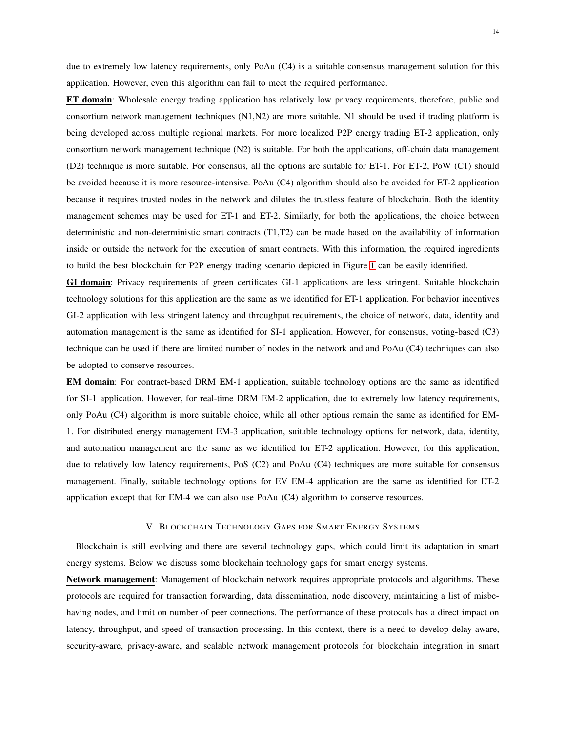due to extremely low latency requirements, only PoAu (C4) is a suitable consensus management solution for this application. However, even this algorithm can fail to meet the required performance.

ET domain: Wholesale energy trading application has relatively low privacy requirements, therefore, public and consortium network management techniques (N1,N2) are more suitable. N1 should be used if trading platform is being developed across multiple regional markets. For more localized P2P energy trading ET-2 application, only consortium network management technique (N2) is suitable. For both the applications, off-chain data management (D2) technique is more suitable. For consensus, all the options are suitable for ET-1. For ET-2, PoW (C1) should be avoided because it is more resource-intensive. PoAu (C4) algorithm should also be avoided for ET-2 application because it requires trusted nodes in the network and dilutes the trustless feature of blockchain. Both the identity management schemes may be used for ET-1 and ET-2. Similarly, for both the applications, the choice between deterministic and non-deterministic smart contracts (T1,T2) can be made based on the availability of information inside or outside the network for the execution of smart contracts. With this information, the required ingredients to build the best blockchain for P2P energy trading scenario depicted in Figure [1](#page-1-0) can be easily identified.

GI domain: Privacy requirements of green certificates GI-1 applications are less stringent. Suitable blockchain technology solutions for this application are the same as we identified for ET-1 application. For behavior incentives GI-2 application with less stringent latency and throughput requirements, the choice of network, data, identity and automation management is the same as identified for SI-1 application. However, for consensus, voting-based (C3) technique can be used if there are limited number of nodes in the network and and PoAu (C4) techniques can also be adopted to conserve resources.

EM domain: For contract-based DRM EM-1 application, suitable technology options are the same as identified for SI-1 application. However, for real-time DRM EM-2 application, due to extremely low latency requirements, only PoAu (C4) algorithm is more suitable choice, while all other options remain the same as identified for EM-1. For distributed energy management EM-3 application, suitable technology options for network, data, identity, and automation management are the same as we identified for ET-2 application. However, for this application, due to relatively low latency requirements, PoS (C2) and PoAu (C4) techniques are more suitable for consensus management. Finally, suitable technology options for EV EM-4 application are the same as identified for ET-2 application except that for EM-4 we can also use PoAu (C4) algorithm to conserve resources.

#### V. BLOCKCHAIN TECHNOLOGY GAPS FOR SMART ENERGY SYSTEMS

<span id="page-14-0"></span>Blockchain is still evolving and there are several technology gaps, which could limit its adaptation in smart energy systems. Below we discuss some blockchain technology gaps for smart energy systems.

Network management: Management of blockchain network requires appropriate protocols and algorithms. These protocols are required for transaction forwarding, data dissemination, node discovery, maintaining a list of misbehaving nodes, and limit on number of peer connections. The performance of these protocols has a direct impact on latency, throughput, and speed of transaction processing. In this context, there is a need to develop delay-aware, security-aware, privacy-aware, and scalable network management protocols for blockchain integration in smart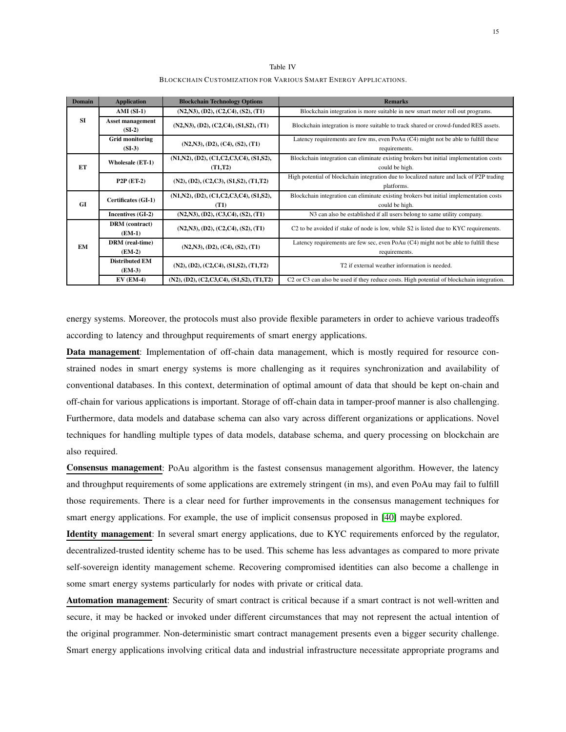Table IV BLOCKCHAIN CUSTOMIZATION FOR VARIOUS SMART ENERGY APPLICATIONS.

<span id="page-15-0"></span>

| <b>Domain</b> | <b>Application</b>                | <b>Blockchain Technology Options</b>                             | <b>Remarks</b>                                                                                                    |  |  |  |  |  |
|---------------|-----------------------------------|------------------------------------------------------------------|-------------------------------------------------------------------------------------------------------------------|--|--|--|--|--|
|               | $AMI(SI-1)$                       | (N2,N3), (D2), (C2,C4), (S2), (T1)                               | Blockchain integration is more suitable in new smart meter roll out programs.                                     |  |  |  |  |  |
| <b>SI</b>     | Asset management<br>$(SI-2)$      | (N2,N3), (D2), (C2,C4), (S1,S2), (T1)                            | Blockchain integration is more suitable to track shared or crowd-funded RES assets.                               |  |  |  |  |  |
|               | Grid monitoring<br>$(SI-3)$       | (N2,N3), (D2), (C4), (S2), (T1)                                  | Latency requirements are few ms, even PoAu (C4) might not be able to fulfill these<br>requirements.               |  |  |  |  |  |
| ET            | <b>Wholesale (ET-1)</b>           | $(N1,N2)$ , $(D2)$ , $(C1, C2, C3, C4)$ , $(S1,S2)$ ,<br>(T1,T2) | Blockchain integration can eliminate existing brokers but initial implementation costs<br>could be high.          |  |  |  |  |  |
|               | $P2P$ (ET-2)                      | $(N2), (D2), (C2, C3), (S1, S2), (T1, T2)$                       | High potential of blockchain integration due to localized nature and lack of P2P trading<br>platforms.            |  |  |  |  |  |
| <b>GI</b>     | Certificates (GI-1)               | $(N1,N2), (D2), (C1,C2,C3,C4), (S1,S2),$<br>(T1)                 | Blockchain integration can eliminate existing brokers but initial implementation costs<br>could be high.          |  |  |  |  |  |
|               | Incentives (GI-2)                 | (N2,N3), (D2), (C3,C4), (S2), (T1)                               | N3 can also be established if all users belong to same utility company.                                           |  |  |  |  |  |
|               | DRM (contract)<br>$(EM-1)$        | (N2,N3), (D2), (C2,C4), (S2), (T1)                               | C <sub>2</sub> to be avoided if stake of node is low, while S <sub>2</sub> is listed due to KYC requirements.     |  |  |  |  |  |
| EM            | DRM (real-time)<br>$(EM-2)$       | (N2,N3), (D2), (C4), (S2), (T1)                                  | Latency requirements are few sec, even PoAu $(C4)$ might not be able to fulfill these<br>requirements.            |  |  |  |  |  |
|               | <b>Distributed EM</b><br>$(EM-3)$ | $(N2), (D2), (C2, C4), (S1, S2), (T1, T2)$                       | T <sub>2</sub> if external weather information is needed.                                                         |  |  |  |  |  |
|               | $EV$ (EM-4)                       | $(N2), (D2), (C2, C3, C4), (S1, S2), (T1, T2)$                   | C <sub>2</sub> or C <sub>3</sub> can also be used if they reduce costs. High potential of blockchain integration. |  |  |  |  |  |

energy systems. Moreover, the protocols must also provide flexible parameters in order to achieve various tradeoffs according to latency and throughput requirements of smart energy applications.

Data management: Implementation of off-chain data management, which is mostly required for resource constrained nodes in smart energy systems is more challenging as it requires synchronization and availability of conventional databases. In this context, determination of optimal amount of data that should be kept on-chain and off-chain for various applications is important. Storage of off-chain data in tamper-proof manner is also challenging. Furthermore, data models and database schema can also vary across different organizations or applications. Novel techniques for handling multiple types of data models, database schema, and query processing on blockchain are also required.

Consensus management: PoAu algorithm is the fastest consensus management algorithm. However, the latency and throughput requirements of some applications are extremely stringent (in ms), and even PoAu may fail to fulfill those requirements. There is a clear need for further improvements in the consensus management techniques for smart energy applications. For example, the use of implicit consensus proposed in [\[40\]](#page-18-5) maybe explored.

Identity management: In several smart energy applications, due to KYC requirements enforced by the regulator, decentralized-trusted identity scheme has to be used. This scheme has less advantages as compared to more private self-sovereign identity management scheme. Recovering compromised identities can also become a challenge in some smart energy systems particularly for nodes with private or critical data.

Automation management: Security of smart contract is critical because if a smart contract is not well-written and secure, it may be hacked or invoked under different circumstances that may not represent the actual intention of the original programmer. Non-deterministic smart contract management presents even a bigger security challenge. Smart energy applications involving critical data and industrial infrastructure necessitate appropriate programs and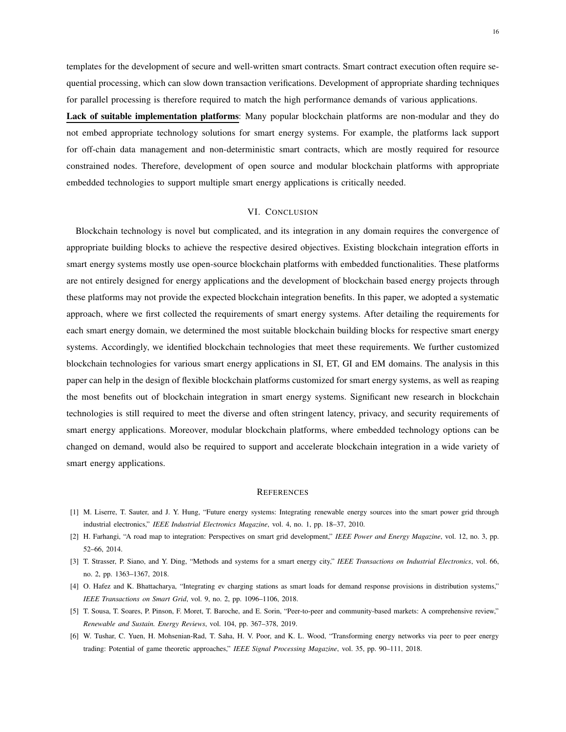templates for the development of secure and well-written smart contracts. Smart contract execution often require sequential processing, which can slow down transaction verifications. Development of appropriate sharding techniques for parallel processing is therefore required to match the high performance demands of various applications.

Lack of suitable implementation platforms: Many popular blockchain platforms are non-modular and they do not embed appropriate technology solutions for smart energy systems. For example, the platforms lack support for off-chain data management and non-deterministic smart contracts, which are mostly required for resource constrained nodes. Therefore, development of open source and modular blockchain platforms with appropriate embedded technologies to support multiple smart energy applications is critically needed.

# VI. CONCLUSION

<span id="page-16-5"></span>Blockchain technology is novel but complicated, and its integration in any domain requires the convergence of appropriate building blocks to achieve the respective desired objectives. Existing blockchain integration efforts in smart energy systems mostly use open-source blockchain platforms with embedded functionalities. These platforms are not entirely designed for energy applications and the development of blockchain based energy projects through these platforms may not provide the expected blockchain integration benefits. In this paper, we adopted a systematic approach, where we first collected the requirements of smart energy systems. After detailing the requirements for each smart energy domain, we determined the most suitable blockchain building blocks for respective smart energy systems. Accordingly, we identified blockchain technologies that meet these requirements. We further customized blockchain technologies for various smart energy applications in SI, ET, GI and EM domains. The analysis in this paper can help in the design of flexible blockchain platforms customized for smart energy systems, as well as reaping the most benefits out of blockchain integration in smart energy systems. Significant new research in blockchain technologies is still required to meet the diverse and often stringent latency, privacy, and security requirements of smart energy applications. Moreover, modular blockchain platforms, where embedded technology options can be changed on demand, would also be required to support and accelerate blockchain integration in a wide variety of smart energy applications.

#### **REFERENCES**

- <span id="page-16-1"></span><span id="page-16-0"></span>[1] M. Liserre, T. Sauter, and J. Y. Hung, "Future energy systems: Integrating renewable energy sources into the smart power grid through industrial electronics," *IEEE Industrial Electronics Magazine*, vol. 4, no. 1, pp. 18–37, 2010.
- <span id="page-16-2"></span>[2] H. Farhangi, "A road map to integration: Perspectives on smart grid development," *IEEE Power and Energy Magazine*, vol. 12, no. 3, pp. 52–66, 2014.
- <span id="page-16-3"></span>[3] T. Strasser, P. Siano, and Y. Ding, "Methods and systems for a smart energy city," *IEEE Transactions on Industrial Electronics*, vol. 66, no. 2, pp. 1363–1367, 2018.
- <span id="page-16-4"></span>[4] O. Hafez and K. Bhattacharya, "Integrating ev charging stations as smart loads for demand response provisions in distribution systems," *IEEE Transactions on Smart Grid*, vol. 9, no. 2, pp. 1096–1106, 2018.
- [5] T. Sousa, T. Soares, P. Pinson, F. Moret, T. Baroche, and E. Sorin, "Peer-to-peer and community-based markets: A comprehensive review," *Renewable and Sustain. Energy Reviews*, vol. 104, pp. 367–378, 2019.
- [6] W. Tushar, C. Yuen, H. Mohsenian-Rad, T. Saha, H. V. Poor, and K. L. Wood, "Transforming energy networks via peer to peer energy trading: Potential of game theoretic approaches," *IEEE Signal Processing Magazine*, vol. 35, pp. 90–111, 2018.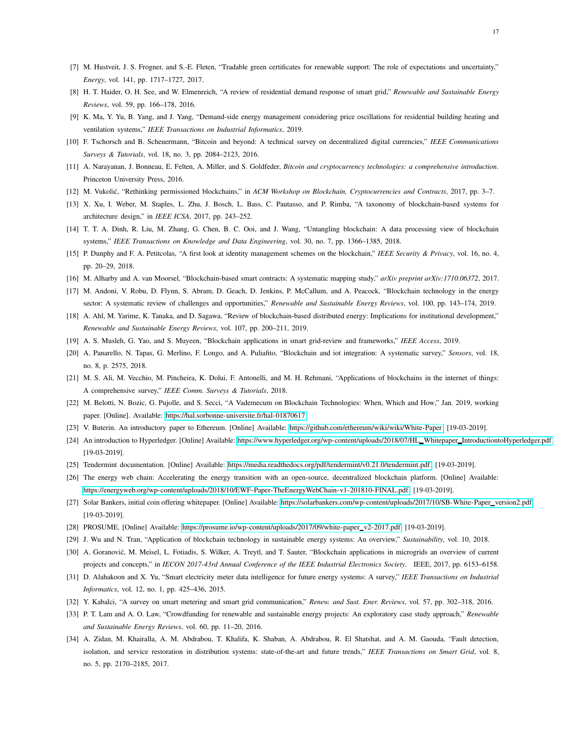- <span id="page-17-1"></span><span id="page-17-0"></span>[7] M. Hustveit, J. S. Frogner, and S.-E. Fleten, "Tradable green certificates for renewable support: The role of expectations and uncertainty," *Energy*, vol. 141, pp. 1717–1727, 2017.
- <span id="page-17-2"></span>[8] H. T. Haider, O. H. See, and W. Elmenreich, "A review of residential demand response of smart grid," *Renewable and Sustainable Energy Reviews*, vol. 59, pp. 166–178, 2016.
- <span id="page-17-3"></span>[9] K. Ma, Y. Yu, B. Yang, and J. Yang, "Demand-side energy management considering price oscillations for residential building heating and ventilation systems," *IEEE Transactions on Industrial Informatics*, 2019.
- <span id="page-17-4"></span>[10] F. Tschorsch and B. Scheuermann, "Bitcoin and beyond: A technical survey on decentralized digital currencies," *IEEE Communications Surveys & Tutorials*, vol. 18, no. 3, pp. 2084–2123, 2016.
- <span id="page-17-5"></span>[11] A. Narayanan, J. Bonneau, E. Felten, A. Miller, and S. Goldfeder, *Bitcoin and cryptocurrency technologies: a comprehensive introduction*. Princeton University Press, 2016.
- <span id="page-17-12"></span>[12] M. Vukolić, "Rethinking permissioned blockchains," in *ACM Workshop on Blockchain, Cryptocurrencies and Contracts*, 2017, pp. 3-7.
- <span id="page-17-13"></span>[13] X. Xu, I. Weber, M. Staples, L. Zhu, J. Bosch, L. Bass, C. Pautasso, and P. Rimba, "A taxonomy of blockchain-based systems for architecture design," in *IEEE ICSA*, 2017, pp. 243–252.
- <span id="page-17-14"></span>[14] T. T. A. Dinh, R. Liu, M. Zhang, G. Chen, B. C. Ooi, and J. Wang, "Untangling blockchain: A data processing view of blockchain systems," *IEEE Transactions on Knowledge and Data Engineering*, vol. 30, no. 7, pp. 1366–1385, 2018.
- <span id="page-17-6"></span>[15] P. Dunphy and F. A. Petitcolas, "A first look at identity management schemes on the blockchain," *IEEE Security & Privacy*, vol. 16, no. 4, pp. 20–29, 2018.
- <span id="page-17-7"></span>[16] M. Alharby and A. van Moorsel, "Blockchain-based smart contracts: A systematic mapping study," *arXiv preprint arXiv:1710.06372*, 2017.
- <span id="page-17-9"></span>[17] M. Andoni, V. Robu, D. Flynn, S. Abram, D. Geach, D. Jenkins, P. McCallum, and A. Peacock, "Blockchain technology in the energy sector: A systematic review of challenges and opportunities," *Renewable and Sustainable Energy Reviews*, vol. 100, pp. 143–174, 2019.
- <span id="page-17-8"></span>[18] A. Ahl, M. Yarime, K. Tanaka, and D. Sagawa, "Review of blockchain-based distributed energy: Implications for institutional development," *Renewable and Sustainable Energy Reviews*, vol. 107, pp. 200–211, 2019.
- <span id="page-17-10"></span>[19] A. S. Musleh, G. Yao, and S. Muyeen, "Blockchain applications in smart grid-review and frameworks," *IEEE Access*, 2019.
- <span id="page-17-11"></span>[20] A. Panarello, N. Tapas, G. Merlino, F. Longo, and A. Puliafito, "Blockchain and iot integration: A systematic survey," *Sensors*, vol. 18, no. 8, p. 2575, 2018.
- <span id="page-17-15"></span>[21] M. S. Ali, M. Vecchio, M. Pincheira, K. Dolui, F. Antonelli, and M. H. Rehmani, "Applications of blockchains in the internet of things: A comprehensive survey," *IEEE Comm. Surveys & Tutorials*, 2018.
- <span id="page-17-16"></span>[22] M. Belotti, N. Bozic, G. Pujolle, and S. Secci, "A Vademecum on Blockchain Technologies: When, Which and How," Jan. 2019, working paper. [Online]. Available:<https://hal.sorbonne-universite.fr/hal-01870617>
- <span id="page-17-17"></span>[23] V. Buterin. An introductory paper to Ethereum. [Online] Available: [https://github.com/ethereum/wiki/wiki/White-Paper.](https://github.com/ethereum/wiki/wiki/White-Paper) [19-03-2019].
- <span id="page-17-18"></span>[24] An introduction to Hyperledger. [Online] Available: [https://www.hyperledger.org/wp-content/uploads/2018/07/HL](https://www.hyperledger.org/wp-content/uploads/2018/07/HL_Whitepaper_IntroductiontoHyperledger.pdf) Whitepaper IntroductiontoHyperledger.pdf. [19-03-2019].
- <span id="page-17-19"></span>[25] Tendermint documentation. [Online] Available: [https://media.readthedocs.org/pdf/tendermint/v0.21.0/tendermint.pdf.](https://media.readthedocs.org/pdf/tendermint/v0.21.0/tendermint.pdf) [19-03-2019].
- <span id="page-17-20"></span>[26] The energy web chain: Accelerating the energy transition with an open-source, decentralized blockchain platform. [Online] Available: [https://energyweb.org/wp-content/uploads/2018/10/EWF-Paper-TheEnergyWebChain-v1-201810-FINAL.pdf.](https://energyweb.org/wp-content/uploads/2018/10/EWF-Paper-TheEnergyWebChain-v1-201810-FINAL.pdf) [19-03-2019].
- <span id="page-17-21"></span>[27] Solar Bankers, initial coin offering whitepaper. [Online] Available: [https://solarbankers.com/wp-content/uploads/2017/10/SB-White-Paper](https://solarbankers.com/wp-content/uploads/2017/10/SB-White-Paper_version2.pdf)\_version2.pdf. [19-03-2019].
- <span id="page-17-22"></span>[28] PROSUME. [Online] Available: [https://prosume.io/wp-content/uploads/2017/09/white-paper](https://prosume.io/wp-content/uploads/2017/09/white-paper_v2-2017.pdf)\_v2-2017.pdf. [19-03-2019].
- <span id="page-17-23"></span>[29] J. Wu and N. Tran, "Application of blockchain technology in sustainable energy systems: An overview," *Sustainability*, vol. 10, 2018.
- <span id="page-17-24"></span>[30] A. Goranović, M. Meisel, L. Fotiadis, S. Wilker, A. Treytl, and T. Sauter, "Blockchain applications in microgrids an overview of current projects and concepts," in *IECON 2017-43rd Annual Conference of the IEEE Industrial Electronics Society*. IEEE, 2017, pp. 6153–6158.
- <span id="page-17-25"></span>[31] D. Alahakoon and X. Yu, "Smart electricity meter data intelligence for future energy systems: A survey," *IEEE Transactions on Industrial Informatics*, vol. 12, no. 1, pp. 425–436, 2015.
- <span id="page-17-26"></span>[32] Y. Kabalci, "A survey on smart metering and smart grid communication," *Renew. and Sust. Ener. Reviews*, vol. 57, pp. 302–318, 2016.
- <span id="page-17-27"></span>[33] P. T. Lam and A. O. Law, "Crowdfunding for renewable and sustainable energy projects: An exploratory case study approach," *Renewable and Sustainable Energy Reviews*, vol. 60, pp. 11–20, 2016.
- [34] A. Zidan, M. Khairalla, A. M. Abdrabou, T. Khalifa, K. Shaban, A. Abdrabou, R. El Shatshat, and A. M. Gaouda, "Fault detection, isolation, and service restoration in distribution systems: state-of-the-art and future trends," *IEEE Transactions on Smart Grid*, vol. 8, no. 5, pp. 2170–2185, 2017.